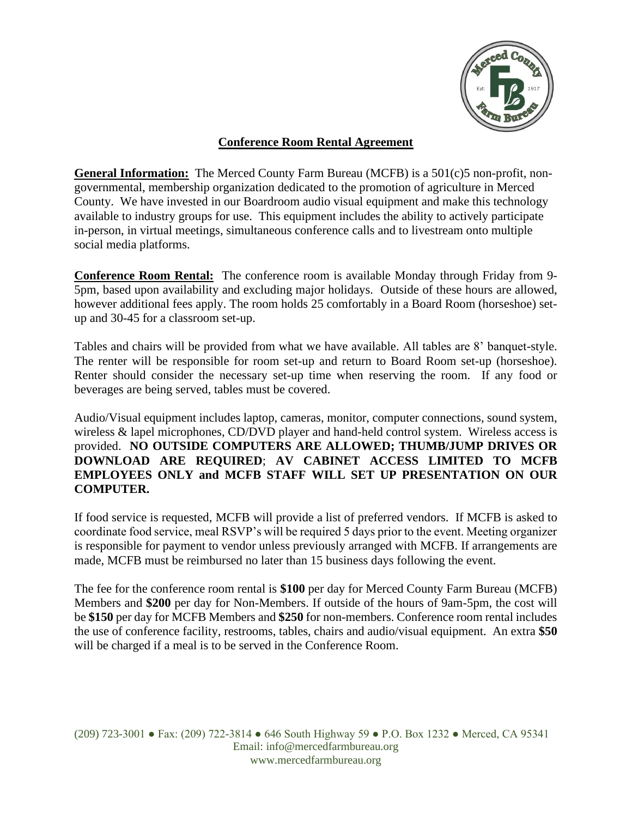

## **Conference Room Rental Agreement**

**General Information:** The Merced County Farm Bureau (MCFB) is a 501(c)5 non-profit, nongovernmental, membership organization dedicated to the promotion of agriculture in Merced County. We have invested in our Boardroom audio visual equipment and make this technology available to industry groups for use. This equipment includes the ability to actively participate in-person, in virtual meetings, simultaneous conference calls and to livestream onto multiple social media platforms.

**Conference Room Rental:** The conference room is available Monday through Friday from 9- 5pm, based upon availability and excluding major holidays. Outside of these hours are allowed, however additional fees apply. The room holds 25 comfortably in a Board Room (horseshoe) setup and 30-45 for a classroom set-up.

Tables and chairs will be provided from what we have available. All tables are 8' banquet-style. The renter will be responsible for room set-up and return to Board Room set-up (horseshoe). Renter should consider the necessary set-up time when reserving the room. If any food or beverages are being served, tables must be covered.

Audio/Visual equipment includes laptop, cameras, monitor, computer connections, sound system, wireless & lapel microphones, CD/DVD player and hand-held control system. Wireless access is provided. **NO OUTSIDE COMPUTERS ARE ALLOWED; THUMB/JUMP DRIVES OR DOWNLOAD ARE REQUIRED**; **AV CABINET ACCESS LIMITED TO MCFB EMPLOYEES ONLY and MCFB STAFF WILL SET UP PRESENTATION ON OUR COMPUTER.**

If food service is requested, MCFB will provide a list of preferred vendors. If MCFB is asked to coordinate food service, meal RSVP's will be required 5 days prior to the event. Meeting organizer is responsible for payment to vendor unless previously arranged with MCFB. If arrangements are made, MCFB must be reimbursed no later than 15 business days following the event.

The fee for the conference room rental is **\$100** per day for Merced County Farm Bureau (MCFB) Members and **\$200** per day for Non-Members. If outside of the hours of 9am-5pm, the cost will be **\$150** per day for MCFB Members and **\$250** for non-members. Conference room rental includes the use of conference facility, restrooms, tables, chairs and audio/visual equipment. An extra **\$50** will be charged if a meal is to be served in the Conference Room.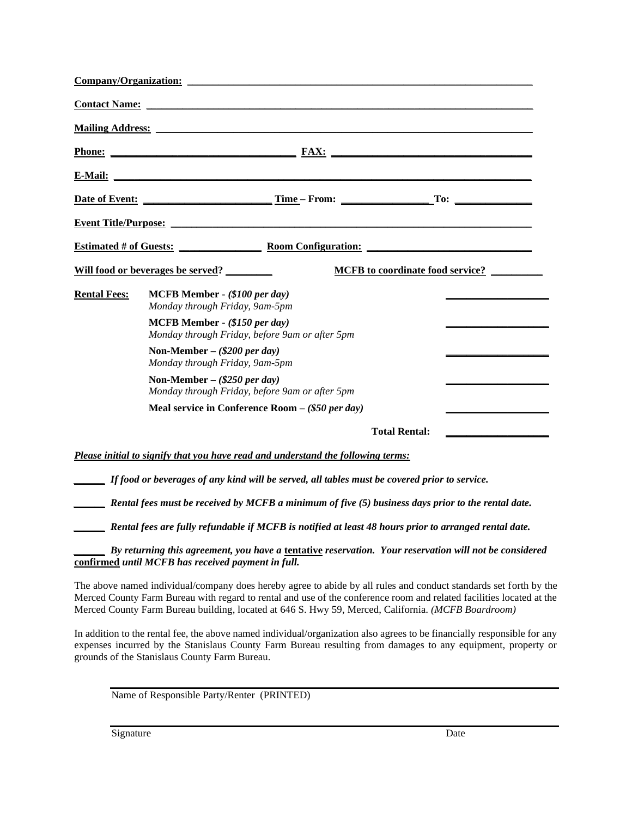|                     | Company/Organization:                                                                                                                                                                                                               |  |
|---------------------|-------------------------------------------------------------------------------------------------------------------------------------------------------------------------------------------------------------------------------------|--|
|                     |                                                                                                                                                                                                                                     |  |
|                     | <b>Mailing Address:</b> The Contract of the Contract of the Contract of the Contract of the Contract of the Contract of the Contract of the Contract of the Contract of the Contract of the Contract of the Contract of the Contrac |  |
|                     |                                                                                                                                                                                                                                     |  |
|                     |                                                                                                                                                                                                                                     |  |
|                     |                                                                                                                                                                                                                                     |  |
|                     | Event Title/Purpose:                                                                                                                                                                                                                |  |
|                     | Estimated # of Guests: <u>Noom Configuration:</u>                                                                                                                                                                                   |  |
|                     | Will food or beverages be served?<br><b>MCFB</b> to coordinate food service?                                                                                                                                                        |  |
| <b>Rental Fees:</b> | MCFB Member - (\$100 per day)<br>Monday through Friday, 9am-5pm                                                                                                                                                                     |  |
|                     | MCFB Member - (\$150 per day)<br>Monday through Friday, before 9am or after 5pm                                                                                                                                                     |  |
|                     | Non-Member $-(\$200 \text{ per day})$<br>Monday through Friday, 9am-5pm                                                                                                                                                             |  |
|                     | Non-Member – $(\$250$ per day)<br>Monday through Friday, before 9am or after 5pm                                                                                                                                                    |  |
|                     | Meal service in Conference Room $-$ (\$50 per day)                                                                                                                                                                                  |  |
|                     | <b>Total Rental:</b>                                                                                                                                                                                                                |  |
|                     | Please initial to signify that you have read and understand the following terms:                                                                                                                                                    |  |
|                     | If food or beverages of any kind will be served, all tables must be covered prior to service.                                                                                                                                       |  |
|                     | Rental fees must be received by MCFB a minimum of five (5) business days prior to the rental date.                                                                                                                                  |  |
|                     | Rental fees are fully refundable if MCFB is notified at least 48 hours prior to arranged rental date.                                                                                                                               |  |
|                     | By returning this agreement, you have a tentative reservation. Your reservation will not be considered<br>confirmed until MCFB has received payment in full.                                                                        |  |

The above named individual/company does hereby agree to abide by all rules and conduct standards set forth by the Merced County Farm Bureau with regard to rental and use of the conference room and related facilities located at the Merced County Farm Bureau building, located at 646 S. Hwy 59, Merced, California. *(MCFB Boardroom)*

In addition to the rental fee, the above named individual/organization also agrees to be financially responsible for any expenses incurred by the Stanislaus County Farm Bureau resulting from damages to any equipment, property or grounds of the Stanislaus County Farm Bureau.

Name of Responsible Party/Renter (PRINTED)